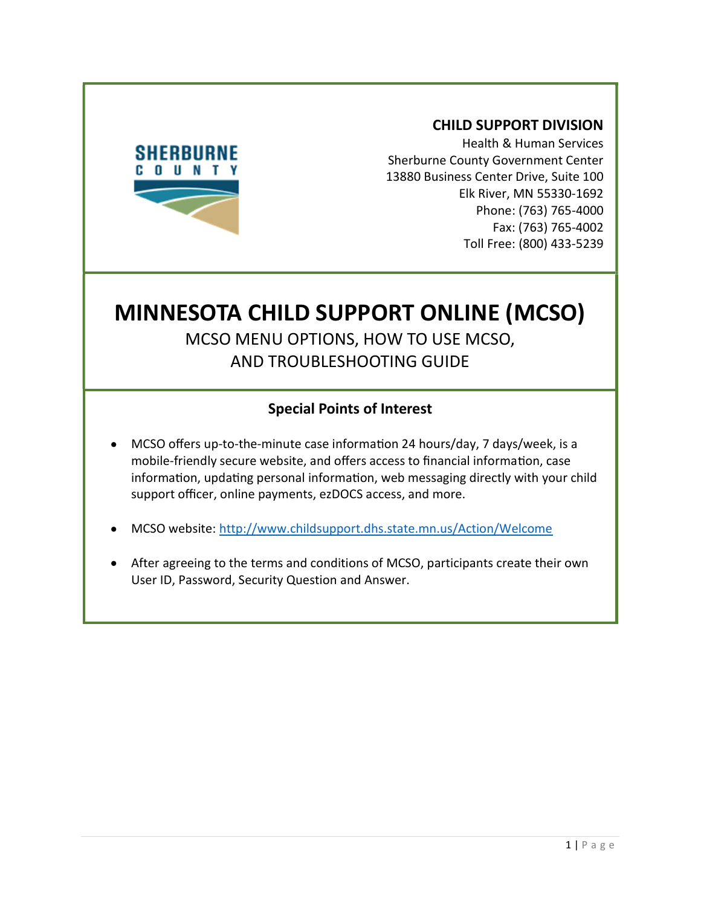

### CHILD SUPPORT DIVISION

Health & Human Services Sherburne County Government Center 13880 Business Center Drive, Suite 100 Elk River, MN 55330-1692 Phone: (763) 765-4000 Fax: (763) 765-4002 Toll Free: (800) 433-5239

# MINNESOTA CHILD SUPPORT ONLINE (MCSO) MCSO MENU OPTIONS, HOW TO USE MCSO, AND TROUBLESHOOTING GUIDE

## Special Points of Interest

- MCSO offers up-to-the-minute case information 24 hours/day, 7 days/week, is a mobile-friendly secure website, and offers access to financial information, case information, updating personal information, web messaging directly with your child support officer, online payments, ezDOCS access, and more.
- MCSO website: http://www.childsupport.dhs.state.mn.us/Action/Welcome
- After agreeing to the terms and conditions of MCSO, participants create their own User ID, Password, Security Question and Answer.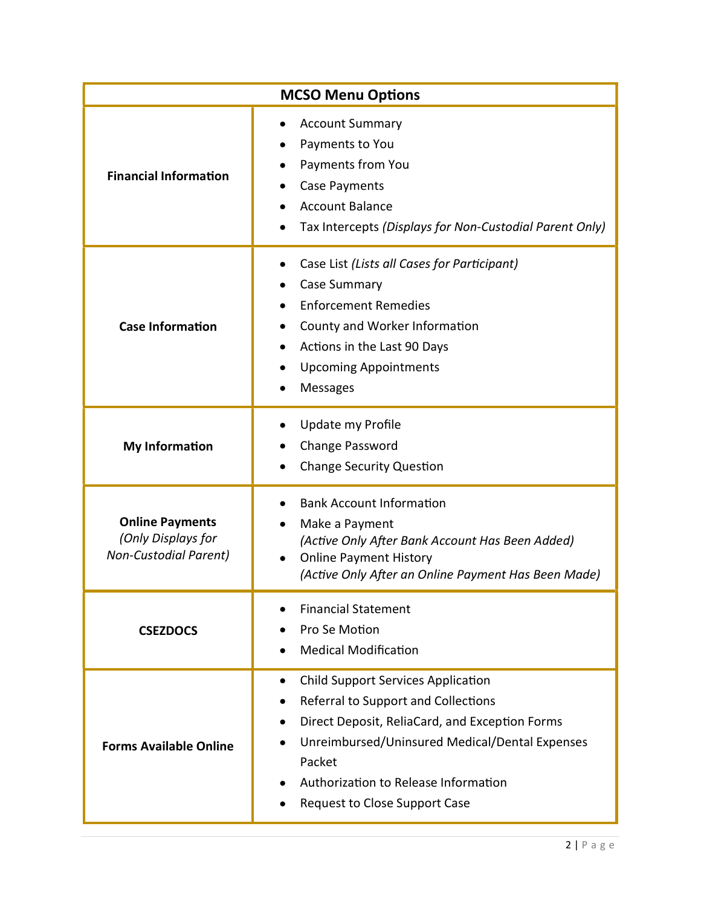| <b>MCSO Menu Options</b>                                                     |                                                                                                                                                                                                                                                                                     |
|------------------------------------------------------------------------------|-------------------------------------------------------------------------------------------------------------------------------------------------------------------------------------------------------------------------------------------------------------------------------------|
| <b>Financial Information</b>                                                 | <b>Account Summary</b><br>Payments to You<br>Payments from You<br>Case Payments<br><b>Account Balance</b><br>Tax Intercepts (Displays for Non-Custodial Parent Only)                                                                                                                |
| <b>Case Information</b>                                                      | Case List (Lists all Cases for Participant)<br>Case Summary<br><b>Enforcement Remedies</b><br>County and Worker Information<br>Actions in the Last 90 Days<br><b>Upcoming Appointments</b><br>Messages                                                                              |
| <b>My Information</b>                                                        | Update my Profile<br>Change Password<br><b>Change Security Question</b>                                                                                                                                                                                                             |
| <b>Online Payments</b><br>(Only Displays for<br><b>Non-Custodial Parent)</b> | <b>Bank Account Information</b><br>Make a Payment<br>(Active Only After Bank Account Has Been Added)<br><b>Online Payment History</b><br>(Active Only After an Online Payment Has Been Made)                                                                                        |
| <b>CSEZDOCS</b>                                                              | <b>Financial Statement</b><br>Pro Se Motion<br><b>Medical Modification</b>                                                                                                                                                                                                          |
| <b>Forms Available Online</b>                                                | <b>Child Support Services Application</b><br>٠<br>Referral to Support and Collections<br>Direct Deposit, ReliaCard, and Exception Forms<br>Unreimbursed/Uninsured Medical/Dental Expenses<br>Packet<br>Authorization to Release Information<br><b>Request to Close Support Case</b> |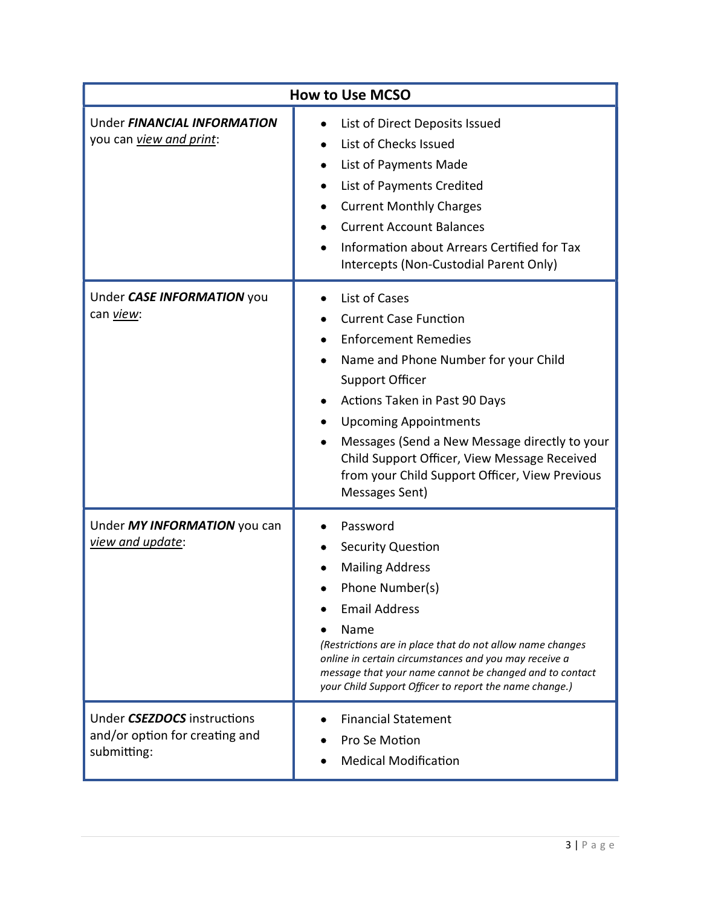| <b>How to Use MCSO</b>                                                       |                                                                                                                                                                                                                                                                                                                                                                                      |
|------------------------------------------------------------------------------|--------------------------------------------------------------------------------------------------------------------------------------------------------------------------------------------------------------------------------------------------------------------------------------------------------------------------------------------------------------------------------------|
| Under FINANCIAL INFORMATION<br>you can <i>view and print</i> :               | List of Direct Deposits Issued<br>List of Checks Issued<br>List of Payments Made<br>List of Payments Credited<br><b>Current Monthly Charges</b><br><b>Current Account Balances</b><br>Information about Arrears Certified for Tax<br>Intercepts (Non-Custodial Parent Only)                                                                                                          |
| Under CASE INFORMATION you<br>can view:                                      | List of Cases<br><b>Current Case Function</b><br><b>Enforcement Remedies</b><br>Name and Phone Number for your Child<br><b>Support Officer</b><br>Actions Taken in Past 90 Days<br><b>Upcoming Appointments</b><br>Messages (Send a New Message directly to your<br>Child Support Officer, View Message Received<br>from your Child Support Officer, View Previous<br>Messages Sent) |
| Under MY INFORMATION you can<br>view and update:                             | Password<br><b>Security Question</b><br><b>Mailing Address</b><br>Phone Number(s)<br><b>Email Address</b><br>Name<br>(Restrictions are in place that do not allow name changes<br>online in certain circumstances and you may receive a<br>message that your name cannot be changed and to contact<br>your Child Support Officer to report the name change.)                         |
| Under CSEZDOCS instructions<br>and/or option for creating and<br>submitting: | <b>Financial Statement</b><br>Pro Se Motion<br><b>Medical Modification</b>                                                                                                                                                                                                                                                                                                           |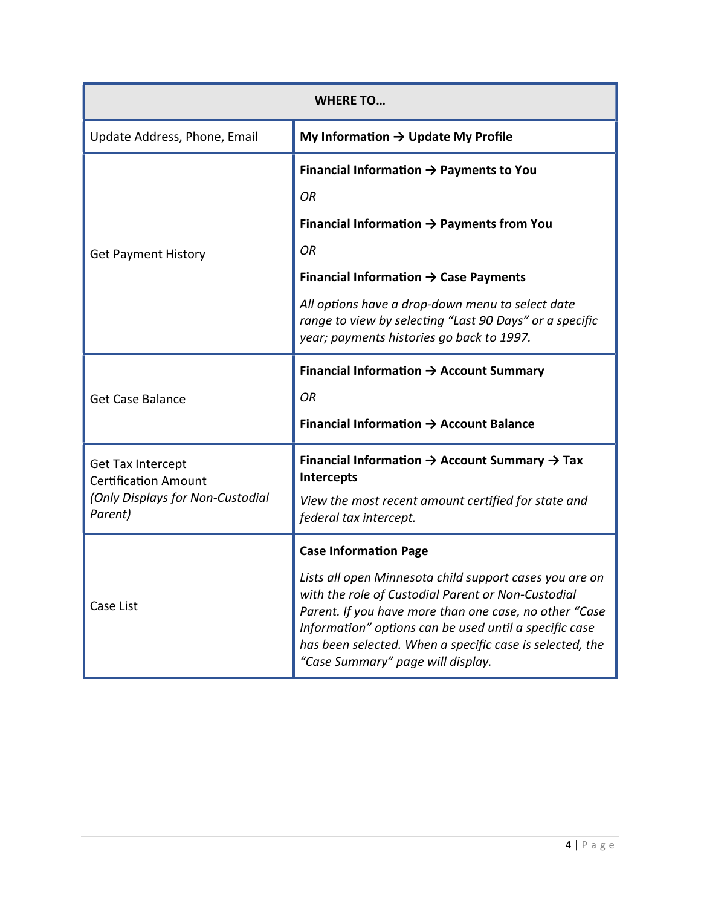| <b>WHERE TO</b>                                                                                 |                                                                                                                                                                                                                                                                                                                                    |
|-------------------------------------------------------------------------------------------------|------------------------------------------------------------------------------------------------------------------------------------------------------------------------------------------------------------------------------------------------------------------------------------------------------------------------------------|
| Update Address, Phone, Email                                                                    | My Information $\rightarrow$ Update My Profile                                                                                                                                                                                                                                                                                     |
|                                                                                                 | Financial Information $\rightarrow$ Payments to You                                                                                                                                                                                                                                                                                |
|                                                                                                 | ΟR                                                                                                                                                                                                                                                                                                                                 |
|                                                                                                 | Financial Information $\rightarrow$ Payments from You                                                                                                                                                                                                                                                                              |
| <b>Get Payment History</b>                                                                      | ΟR                                                                                                                                                                                                                                                                                                                                 |
|                                                                                                 | Financial Information $\rightarrow$ Case Payments                                                                                                                                                                                                                                                                                  |
|                                                                                                 | All options have a drop-down menu to select date<br>range to view by selecting "Last 90 Days" or a specific<br>year; payments histories go back to 1997.                                                                                                                                                                           |
|                                                                                                 | Financial Information $\rightarrow$ Account Summary                                                                                                                                                                                                                                                                                |
| <b>Get Case Balance</b>                                                                         | ΟR                                                                                                                                                                                                                                                                                                                                 |
|                                                                                                 | Financial Information $\rightarrow$ Account Balance                                                                                                                                                                                                                                                                                |
| Get Tax Intercept<br><b>Certification Amount</b><br>(Only Displays for Non-Custodial<br>Parent) | Financial Information $\rightarrow$ Account Summary $\rightarrow$ Tax<br>Intercepts                                                                                                                                                                                                                                                |
|                                                                                                 | View the most recent amount certified for state and<br>federal tax intercept.                                                                                                                                                                                                                                                      |
| Case List                                                                                       | <b>Case Information Page</b>                                                                                                                                                                                                                                                                                                       |
|                                                                                                 | Lists all open Minnesota child support cases you are on<br>with the role of Custodial Parent or Non-Custodial<br>Parent. If you have more than one case, no other "Case<br>Information" options can be used until a specific case<br>has been selected. When a specific case is selected, the<br>"Case Summary" page will display. |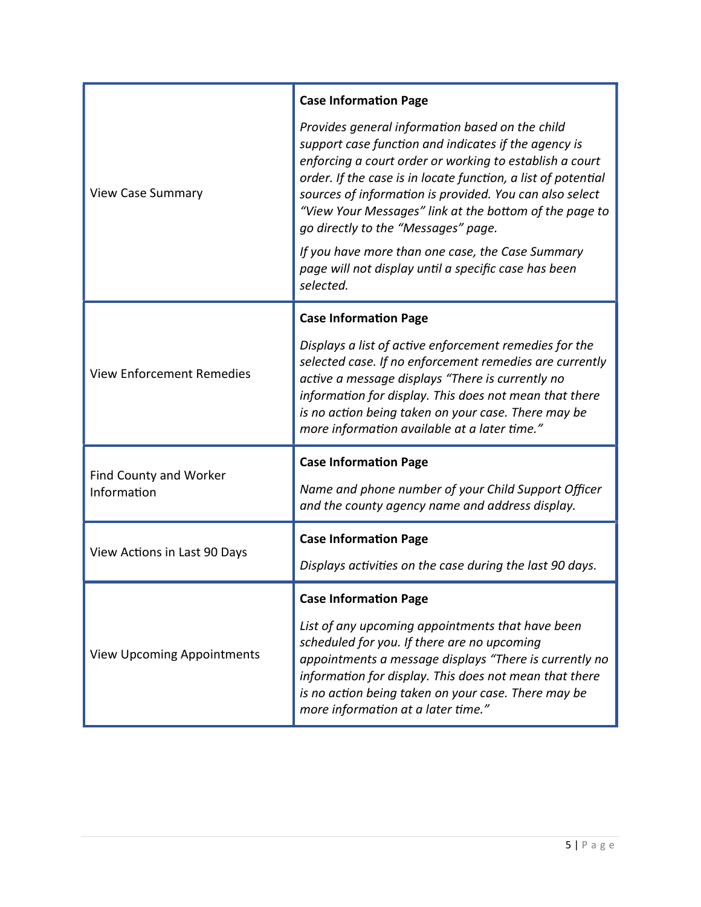|                                       | <b>Case Information Page</b>                                                                                                                                                                                                                                                                                                                                                                                                                                                                                             |
|---------------------------------------|--------------------------------------------------------------------------------------------------------------------------------------------------------------------------------------------------------------------------------------------------------------------------------------------------------------------------------------------------------------------------------------------------------------------------------------------------------------------------------------------------------------------------|
| <b>View Case Summary</b>              | Provides general information based on the child<br>support case function and indicates if the agency is<br>enforcing a court order or working to establish a court<br>order. If the case is in locate function, a list of potential<br>sources of information is provided. You can also select<br>"View Your Messages" link at the bottom of the page to<br>go directly to the "Messages" page.<br>If you have more than one case, the Case Summary<br>page will not display until a specific case has been<br>selected. |
|                                       | <b>Case Information Page</b>                                                                                                                                                                                                                                                                                                                                                                                                                                                                                             |
| <b>View Enforcement Remedies</b>      | Displays a list of active enforcement remedies for the<br>selected case. If no enforcement remedies are currently<br>active a message displays "There is currently no<br>information for display. This does not mean that there<br>is no action being taken on your case. There may be<br>more information available at a later time."                                                                                                                                                                                   |
|                                       | <b>Case Information Page</b>                                                                                                                                                                                                                                                                                                                                                                                                                                                                                             |
| Find County and Worker<br>Information | Name and phone number of your Child Support Officer<br>and the county agency name and address display.                                                                                                                                                                                                                                                                                                                                                                                                                   |
| View Actions in Last 90 Days          | <b>Case Information Page</b>                                                                                                                                                                                                                                                                                                                                                                                                                                                                                             |
|                                       | Displays activities on the case during the last 90 days.                                                                                                                                                                                                                                                                                                                                                                                                                                                                 |
| <b>View Upcoming Appointments</b>     | <b>Case Information Page</b>                                                                                                                                                                                                                                                                                                                                                                                                                                                                                             |
|                                       | List of any upcoming appointments that have been<br>scheduled for you. If there are no upcoming<br>appointments a message displays "There is currently no<br>information for display. This does not mean that there<br>is no action being taken on your case. There may be<br>more information at a later time."                                                                                                                                                                                                         |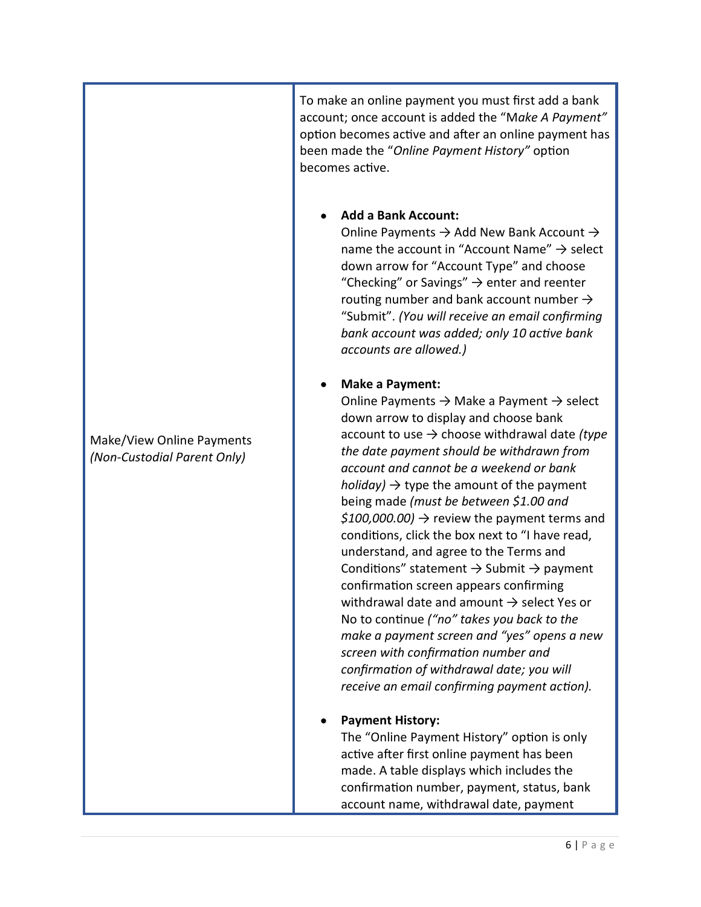To make an online payment you must first add a bank account; once account is added the "Make A Payment" option becomes active and after an online payment has been made the "Online Payment History" option becomes acƟve.

#### Add a Bank Account:

Online Payments  $\rightarrow$  Add New Bank Account  $\rightarrow$ name the account in "Account Name"  $\rightarrow$  select down arrow for "Account Type" and choose "Checking" or Savings"  $\rightarrow$  enter and reenter routing number and bank account number  $\rightarrow$ "Submit". (You will receive an email confirming bank account was added; only 10 active bank accounts are allowed.)

#### Make a Payment:

Online Payments  $\rightarrow$  Make a Payment  $\rightarrow$  select down arrow to display and choose bank account to use  $\rightarrow$  choose withdrawal date (type the date payment should be withdrawn from account and cannot be a weekend or bank holiday)  $\rightarrow$  type the amount of the payment being made (must be between \$1.00 and  $$100,000.00]$   $\rightarrow$  review the payment terms and conditions, click the box next to "I have read, understand, and agree to the Terms and Conditions" statement  $\rightarrow$  Submit  $\rightarrow$  payment confirmation screen appears confirming withdrawal date and amount  $\rightarrow$  select Yes or No to continue ("no" takes you back to the make a payment screen and "yes" opens a new screen with confirmation number and confirmation of withdrawal date; you will receive an email confirming payment action).

#### Payment History:

The "Online Payment History" option is only active after first online payment has been made. A table displays which includes the confirmation number, payment, status, bank account name, withdrawal date, payment

Make/View Online Payments (Non-Custodial Parent Only)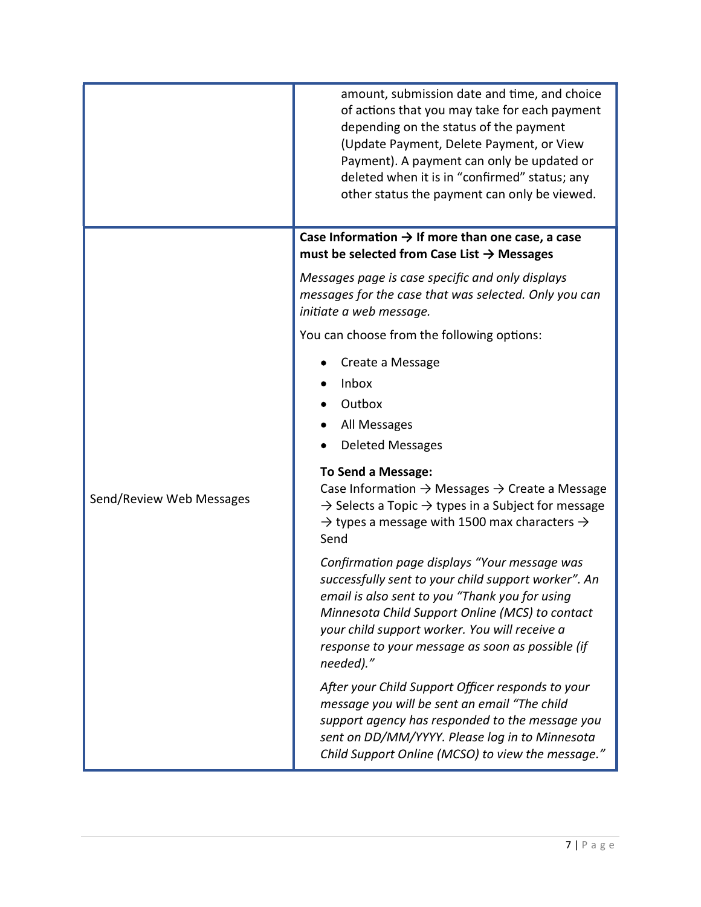|                          | amount, submission date and time, and choice<br>of actions that you may take for each payment<br>depending on the status of the payment<br>(Update Payment, Delete Payment, or View<br>Payment). A payment can only be updated or<br>deleted when it is in "confirmed" status; any<br>other status the payment can only be viewed. |
|--------------------------|------------------------------------------------------------------------------------------------------------------------------------------------------------------------------------------------------------------------------------------------------------------------------------------------------------------------------------|
|                          | Case Information $\rightarrow$ If more than one case, a case<br>must be selected from Case List $\rightarrow$ Messages                                                                                                                                                                                                             |
|                          | Messages page is case specific and only displays<br>messages for the case that was selected. Only you can<br>initiate a web message.                                                                                                                                                                                               |
|                          | You can choose from the following options:                                                                                                                                                                                                                                                                                         |
|                          | Create a Message<br>Inbox<br>Outbox<br>All Messages                                                                                                                                                                                                                                                                                |
|                          | <b>Deleted Messages</b>                                                                                                                                                                                                                                                                                                            |
| Send/Review Web Messages | <b>To Send a Message:</b><br>Case Information $\rightarrow$ Messages $\rightarrow$ Create a Message<br>$\rightarrow$ Selects a Topic $\rightarrow$ types in a Subject for message<br>$\rightarrow$ types a message with 1500 max characters $\rightarrow$<br>Send                                                                  |
|                          | Confirmation page displays "Your message was<br>successfully sent to your child support worker". An<br>email is also sent to you "Thank you for using<br>Minnesota Child Support Online (MCS) to contact<br>your child support worker. You will receive a<br>response to your message as soon as possible (if<br>needed)."         |
|                          | After your Child Support Officer responds to your<br>message you will be sent an email "The child<br>support agency has responded to the message you<br>sent on DD/MM/YYYY. Please log in to Minnesota<br>Child Support Online (MCSO) to view the message."                                                                        |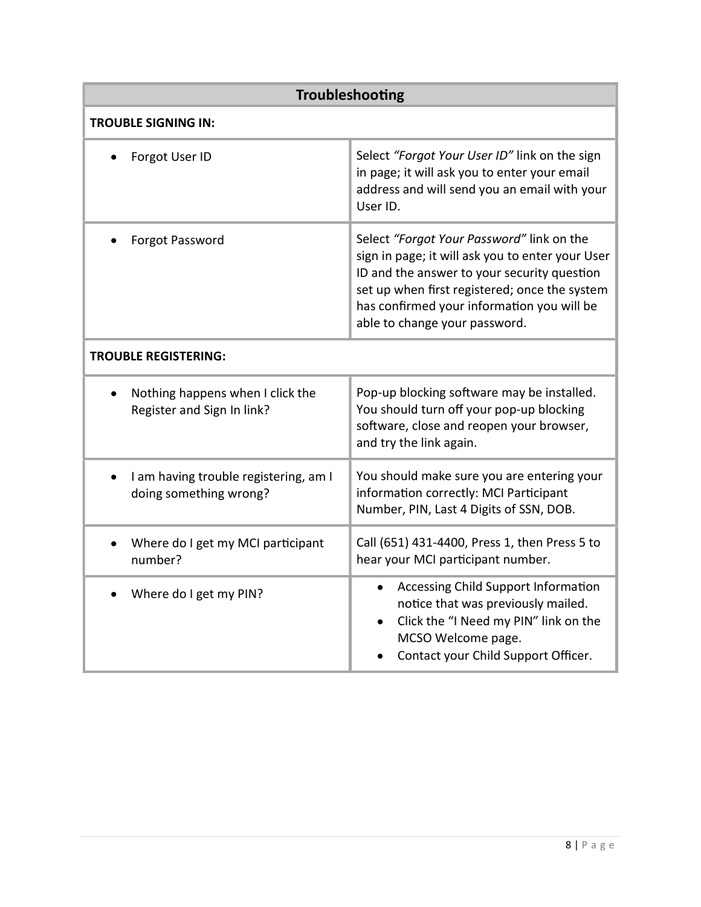| Troubleshooting                                                 |                                                                                                                                                                                                                                                                              |
|-----------------------------------------------------------------|------------------------------------------------------------------------------------------------------------------------------------------------------------------------------------------------------------------------------------------------------------------------------|
| <b>TROUBLE SIGNING IN:</b>                                      |                                                                                                                                                                                                                                                                              |
| Forgot User ID                                                  | Select "Forgot Your User ID" link on the sign<br>in page; it will ask you to enter your email<br>address and will send you an email with your<br>User ID.                                                                                                                    |
| Forgot Password                                                 | Select "Forgot Your Password" link on the<br>sign in page; it will ask you to enter your User<br>ID and the answer to your security question<br>set up when first registered; once the system<br>has confirmed your information you will be<br>able to change your password. |
| <b>TROUBLE REGISTERING:</b>                                     |                                                                                                                                                                                                                                                                              |
| Nothing happens when I click the<br>Register and Sign In link?  | Pop-up blocking software may be installed.<br>You should turn off your pop-up blocking<br>software, close and reopen your browser,<br>and try the link again.                                                                                                                |
| I am having trouble registering, am I<br>doing something wrong? | You should make sure you are entering your<br>information correctly: MCI Participant<br>Number, PIN, Last 4 Digits of SSN, DOB.                                                                                                                                              |
| Where do I get my MCI participant<br>number?                    | Call (651) 431-4400, Press 1, then Press 5 to<br>hear your MCI participant number.                                                                                                                                                                                           |
| Where do I get my PIN?                                          | Accessing Child Support Information<br>$\bullet$<br>notice that was previously mailed.<br>Click the "I Need my PIN" link on the<br>MCSO Welcome page.<br>Contact your Child Support Officer.                                                                                 |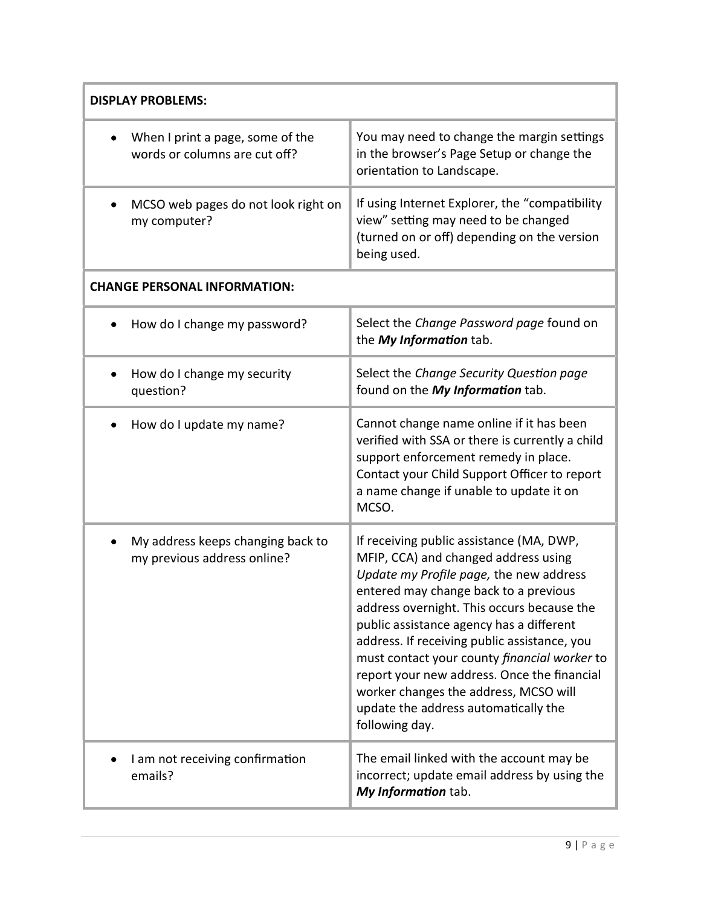| <b>DISPLAY PROBLEMS:</b>                                                      |                                                                                                                                                                                                                                                                                                                                                                                                                                                                                                                  |  |
|-------------------------------------------------------------------------------|------------------------------------------------------------------------------------------------------------------------------------------------------------------------------------------------------------------------------------------------------------------------------------------------------------------------------------------------------------------------------------------------------------------------------------------------------------------------------------------------------------------|--|
| When I print a page, some of the<br>words or columns are cut off?             | You may need to change the margin settings<br>in the browser's Page Setup or change the<br>orientation to Landscape.                                                                                                                                                                                                                                                                                                                                                                                             |  |
| MCSO web pages do not look right on<br>my computer?                           | If using Internet Explorer, the "compatibility<br>view" setting may need to be changed<br>(turned on or off) depending on the version<br>being used.                                                                                                                                                                                                                                                                                                                                                             |  |
| <b>CHANGE PERSONAL INFORMATION:</b>                                           |                                                                                                                                                                                                                                                                                                                                                                                                                                                                                                                  |  |
| How do I change my password?                                                  | Select the Change Password page found on<br>the My Information tab.                                                                                                                                                                                                                                                                                                                                                                                                                                              |  |
| How do I change my security<br>question?                                      | Select the Change Security Question page<br>found on the My Information tab.                                                                                                                                                                                                                                                                                                                                                                                                                                     |  |
| How do I update my name?                                                      | Cannot change name online if it has been<br>verified with SSA or there is currently a child<br>support enforcement remedy in place.<br>Contact your Child Support Officer to report<br>a name change if unable to update it on<br>MCSO.                                                                                                                                                                                                                                                                          |  |
| My address keeps changing back to<br>$\bullet$<br>my previous address online? | If receiving public assistance (MA, DWP,<br>MFIP, CCA) and changed address using<br>Update my Profile page, the new address<br>entered may change back to a previous<br>address overnight. This occurs because the<br>public assistance agency has a different<br>address. If receiving public assistance, you<br>must contact your county financial worker to<br>report your new address. Once the financial<br>worker changes the address, MCSO will<br>update the address automatically the<br>following day. |  |
| I am not receiving confirmation<br>emails?                                    | The email linked with the account may be<br>incorrect; update email address by using the<br>My Information tab.                                                                                                                                                                                                                                                                                                                                                                                                  |  |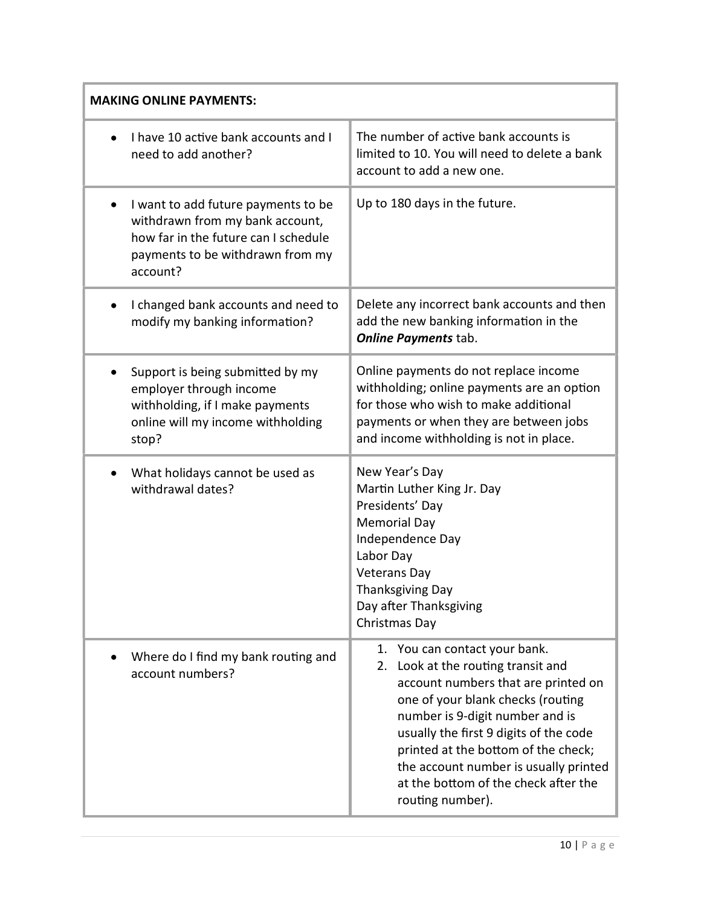| <b>MAKING ONLINE PAYMENTS:</b>                                                                                                                                 |                                                                                                                                                                                                                                                                                                                                                                             |  |
|----------------------------------------------------------------------------------------------------------------------------------------------------------------|-----------------------------------------------------------------------------------------------------------------------------------------------------------------------------------------------------------------------------------------------------------------------------------------------------------------------------------------------------------------------------|--|
| I have 10 active bank accounts and I<br>need to add another?                                                                                                   | The number of active bank accounts is<br>limited to 10. You will need to delete a bank<br>account to add a new one.                                                                                                                                                                                                                                                         |  |
| I want to add future payments to be<br>withdrawn from my bank account,<br>how far in the future can I schedule<br>payments to be withdrawn from my<br>account? | Up to 180 days in the future.                                                                                                                                                                                                                                                                                                                                               |  |
| I changed bank accounts and need to<br>modify my banking information?                                                                                          | Delete any incorrect bank accounts and then<br>add the new banking information in the<br><b>Online Payments tab.</b>                                                                                                                                                                                                                                                        |  |
| Support is being submitted by my<br>employer through income<br>withholding, if I make payments<br>online will my income withholding<br>stop?                   | Online payments do not replace income<br>withholding; online payments are an option<br>for those who wish to make additional<br>payments or when they are between jobs<br>and income withholding is not in place.                                                                                                                                                           |  |
| What holidays cannot be used as<br>withdrawal dates?                                                                                                           | New Year's Day<br>Martin Luther King Jr. Day<br>Presidents' Day<br><b>Memorial Day</b><br>Independence Day<br>Labor Day<br><b>Veterans Day</b><br><b>Thanksgiving Day</b><br>Day after Thanksgiving<br>Christmas Day                                                                                                                                                        |  |
| Where do I find my bank routing and<br>account numbers?                                                                                                        | 1. You can contact your bank.<br>Look at the routing transit and<br>2.<br>account numbers that are printed on<br>one of your blank checks (routing<br>number is 9-digit number and is<br>usually the first 9 digits of the code<br>printed at the bottom of the check;<br>the account number is usually printed<br>at the bottom of the check after the<br>routing number). |  |